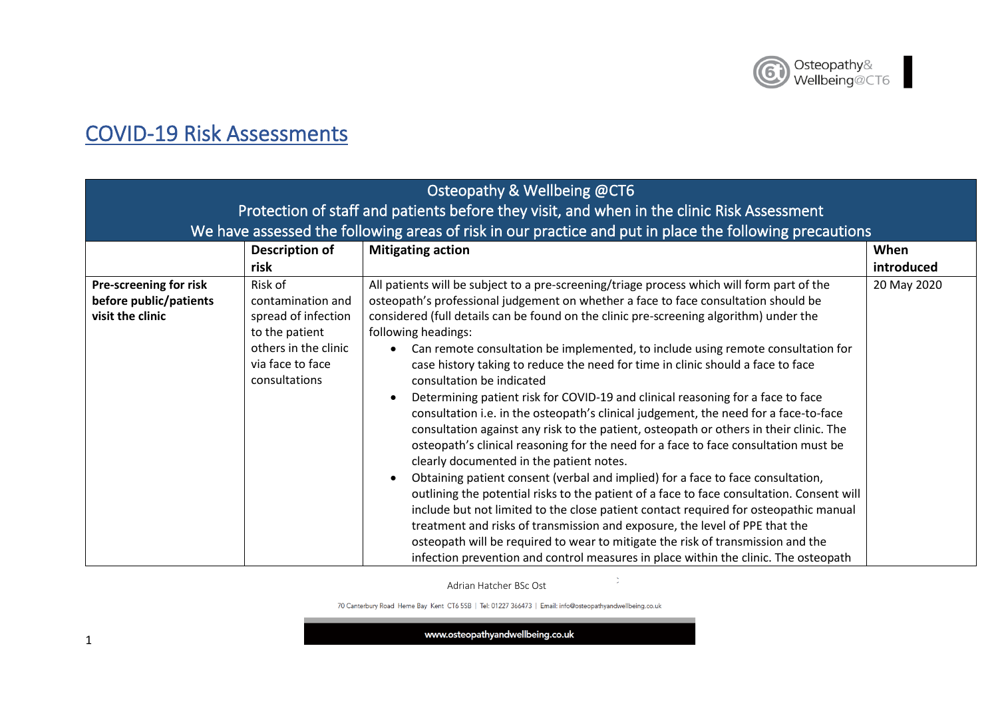

## COVID-19 Risk Assessments

| Osteopathy & Wellbeing @CT6<br>Protection of staff and patients before they visit, and when in the clinic Risk Assessment<br>We have assessed the following areas of risk in our practice and put in place the following precautions |                                                                                                                                    |                                                                                                                                                                                                                                                                                                                                                                                                                                                                                                                                                                                                                                                                                                                                                                                                                                                                                                                                                                                                                                                                                                                                                                                                                                                                                                                                                                                                                                                 |                    |
|--------------------------------------------------------------------------------------------------------------------------------------------------------------------------------------------------------------------------------------|------------------------------------------------------------------------------------------------------------------------------------|-------------------------------------------------------------------------------------------------------------------------------------------------------------------------------------------------------------------------------------------------------------------------------------------------------------------------------------------------------------------------------------------------------------------------------------------------------------------------------------------------------------------------------------------------------------------------------------------------------------------------------------------------------------------------------------------------------------------------------------------------------------------------------------------------------------------------------------------------------------------------------------------------------------------------------------------------------------------------------------------------------------------------------------------------------------------------------------------------------------------------------------------------------------------------------------------------------------------------------------------------------------------------------------------------------------------------------------------------------------------------------------------------------------------------------------------------|--------------------|
|                                                                                                                                                                                                                                      | Description of<br>risk                                                                                                             | <b>Mitigating action</b>                                                                                                                                                                                                                                                                                                                                                                                                                                                                                                                                                                                                                                                                                                                                                                                                                                                                                                                                                                                                                                                                                                                                                                                                                                                                                                                                                                                                                        | When<br>introduced |
| Pre-screening for risk<br>before public/patients<br>visit the clinic                                                                                                                                                                 | Risk of<br>contamination and<br>spread of infection<br>to the patient<br>others in the clinic<br>via face to face<br>consultations | All patients will be subject to a pre-screening/triage process which will form part of the<br>osteopath's professional judgement on whether a face to face consultation should be<br>considered (full details can be found on the clinic pre-screening algorithm) under the<br>following headings:<br>Can remote consultation be implemented, to include using remote consultation for<br>case history taking to reduce the need for time in clinic should a face to face<br>consultation be indicated<br>Determining patient risk for COVID-19 and clinical reasoning for a face to face<br>consultation i.e. in the osteopath's clinical judgement, the need for a face-to-face<br>consultation against any risk to the patient, osteopath or others in their clinic. The<br>osteopath's clinical reasoning for the need for a face to face consultation must be<br>clearly documented in the patient notes.<br>Obtaining patient consent (verbal and implied) for a face to face consultation,<br>outlining the potential risks to the patient of a face to face consultation. Consent will<br>include but not limited to the close patient contact required for osteopathic manual<br>treatment and risks of transmission and exposure, the level of PPE that the<br>osteopath will be required to wear to mitigate the risk of transmission and the<br>infection prevention and control measures in place within the clinic. The osteopath | 20 May 2020        |

Adrian Hatcher BSc Ost

 $\ddot{\phantom{a}}$ 

70 Canterbury Road Herne Bay Kent CT6 5SB | Tel: 01227 366473 | Email: info@osteopathyandwellbeing.co.uk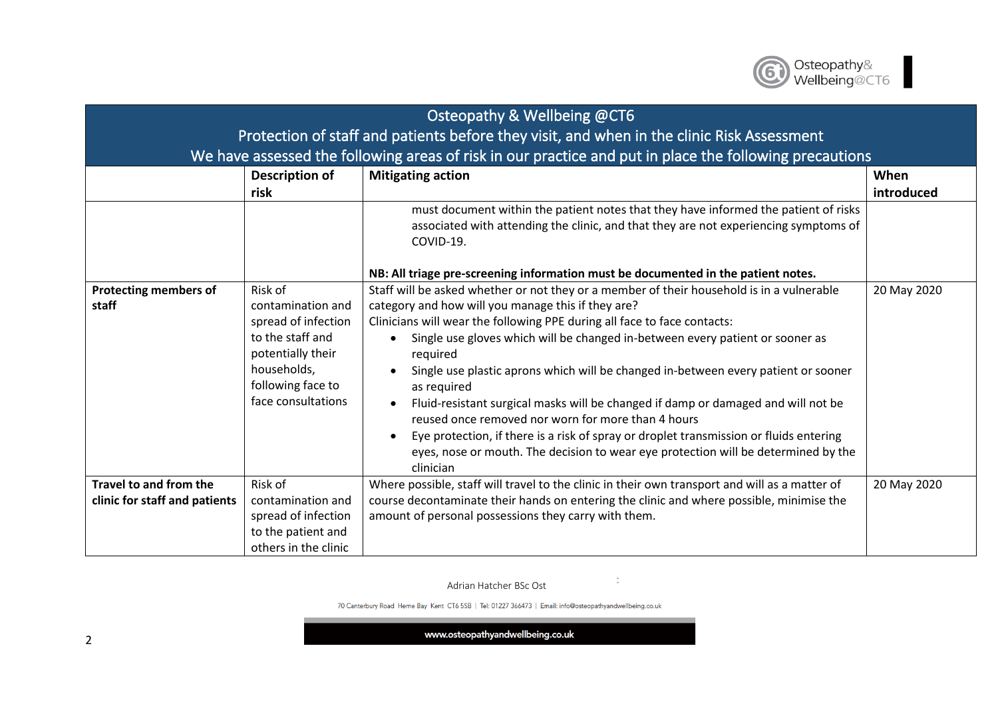

| Osteopathy & Wellbeing @CT6                                                                |                                                                                                                                                        |                                                                                                                                                                                                                                                                                                                                                                                                                                                                                                                                                                                                                                                                                                                                                                       |             |
|--------------------------------------------------------------------------------------------|--------------------------------------------------------------------------------------------------------------------------------------------------------|-----------------------------------------------------------------------------------------------------------------------------------------------------------------------------------------------------------------------------------------------------------------------------------------------------------------------------------------------------------------------------------------------------------------------------------------------------------------------------------------------------------------------------------------------------------------------------------------------------------------------------------------------------------------------------------------------------------------------------------------------------------------------|-------------|
| Protection of staff and patients before they visit, and when in the clinic Risk Assessment |                                                                                                                                                        |                                                                                                                                                                                                                                                                                                                                                                                                                                                                                                                                                                                                                                                                                                                                                                       |             |
|                                                                                            |                                                                                                                                                        | We have assessed the following areas of risk in our practice and put in place the following precautions                                                                                                                                                                                                                                                                                                                                                                                                                                                                                                                                                                                                                                                               |             |
|                                                                                            | Description of                                                                                                                                         | <b>Mitigating action</b>                                                                                                                                                                                                                                                                                                                                                                                                                                                                                                                                                                                                                                                                                                                                              | When        |
|                                                                                            | risk                                                                                                                                                   |                                                                                                                                                                                                                                                                                                                                                                                                                                                                                                                                                                                                                                                                                                                                                                       | introduced  |
|                                                                                            |                                                                                                                                                        | must document within the patient notes that they have informed the patient of risks<br>associated with attending the clinic, and that they are not experiencing symptoms of<br>COVID-19.                                                                                                                                                                                                                                                                                                                                                                                                                                                                                                                                                                              |             |
|                                                                                            |                                                                                                                                                        | NB: All triage pre-screening information must be documented in the patient notes.                                                                                                                                                                                                                                                                                                                                                                                                                                                                                                                                                                                                                                                                                     |             |
| <b>Protecting members of</b><br>staff                                                      | Risk of<br>contamination and<br>spread of infection<br>to the staff and<br>potentially their<br>households,<br>following face to<br>face consultations | Staff will be asked whether or not they or a member of their household is in a vulnerable<br>category and how will you manage this if they are?<br>Clinicians will wear the following PPE during all face to face contacts:<br>Single use gloves which will be changed in-between every patient or sooner as<br>required<br>Single use plastic aprons which will be changed in-between every patient or sooner<br>as required<br>Fluid-resistant surgical masks will be changed if damp or damaged and will not be<br>reused once removed nor worn for more than 4 hours<br>Eye protection, if there is a risk of spray or droplet transmission or fluids entering<br>eyes, nose or mouth. The decision to wear eye protection will be determined by the<br>clinician | 20 May 2020 |
| Travel to and from the<br>clinic for staff and patients                                    | Risk of<br>contamination and<br>spread of infection<br>to the patient and<br>others in the clinic                                                      | Where possible, staff will travel to the clinic in their own transport and will as a matter of<br>course decontaminate their hands on entering the clinic and where possible, minimise the<br>amount of personal possessions they carry with them.                                                                                                                                                                                                                                                                                                                                                                                                                                                                                                                    | 20 May 2020 |

 $\mathcal{Z}^{\mathbb{Z}}$ 

70 Canterbury Road Herne Bay Kent CT6 5SB | Tel: 01227 366473 | Email: info@osteopathyandwellbeing.co.uk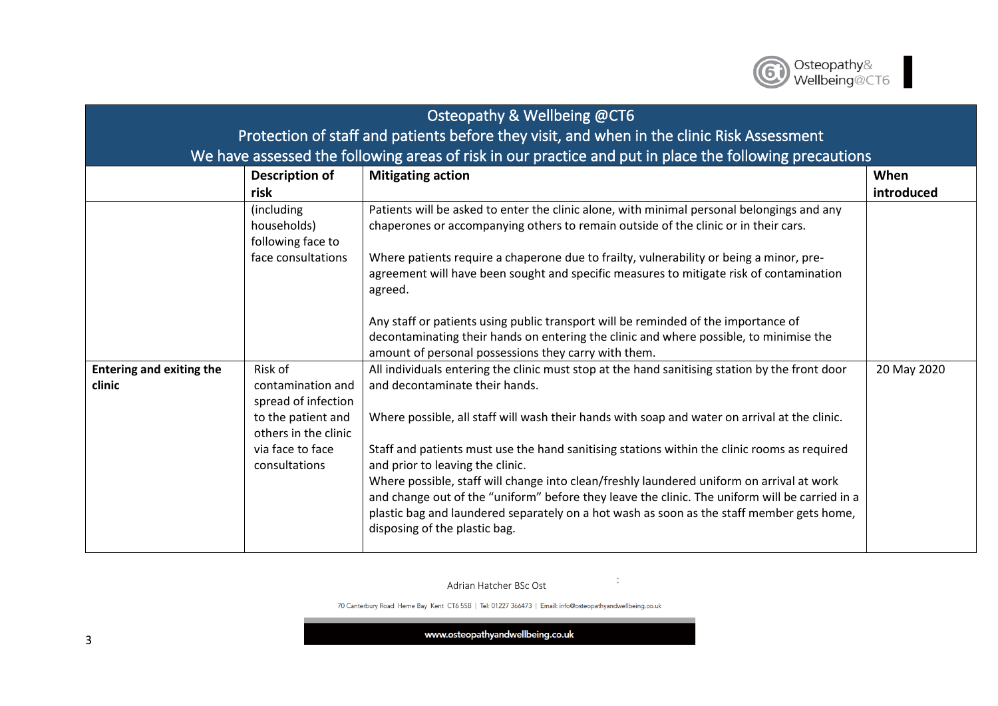

| Osteopathy & Wellbeing @CT6                                                                |                                                                                                                                        |                                                                                                                                                                                                                                                                                                                                                                                                                                                                                                                                                                                                                                                                                                    |                    |
|--------------------------------------------------------------------------------------------|----------------------------------------------------------------------------------------------------------------------------------------|----------------------------------------------------------------------------------------------------------------------------------------------------------------------------------------------------------------------------------------------------------------------------------------------------------------------------------------------------------------------------------------------------------------------------------------------------------------------------------------------------------------------------------------------------------------------------------------------------------------------------------------------------------------------------------------------------|--------------------|
| Protection of staff and patients before they visit, and when in the clinic Risk Assessment |                                                                                                                                        |                                                                                                                                                                                                                                                                                                                                                                                                                                                                                                                                                                                                                                                                                                    |                    |
|                                                                                            |                                                                                                                                        | We have assessed the following areas of risk in our practice and put in place the following precautions                                                                                                                                                                                                                                                                                                                                                                                                                                                                                                                                                                                            |                    |
|                                                                                            | Description of<br>risk                                                                                                                 | <b>Mitigating action</b>                                                                                                                                                                                                                                                                                                                                                                                                                                                                                                                                                                                                                                                                           | When<br>introduced |
|                                                                                            | (including<br>households)<br>following face to<br>face consultations                                                                   | Patients will be asked to enter the clinic alone, with minimal personal belongings and any<br>chaperones or accompanying others to remain outside of the clinic or in their cars.<br>Where patients require a chaperone due to frailty, vulnerability or being a minor, pre-<br>agreement will have been sought and specific measures to mitigate risk of contamination<br>agreed.<br>Any staff or patients using public transport will be reminded of the importance of<br>decontaminating their hands on entering the clinic and where possible, to minimise the<br>amount of personal possessions they carry with them.                                                                         |                    |
| <b>Entering and exiting the</b><br>clinic                                                  | Risk of<br>contamination and<br>spread of infection<br>to the patient and<br>others in the clinic<br>via face to face<br>consultations | All individuals entering the clinic must stop at the hand sanitising station by the front door<br>and decontaminate their hands.<br>Where possible, all staff will wash their hands with soap and water on arrival at the clinic.<br>Staff and patients must use the hand sanitising stations within the clinic rooms as required<br>and prior to leaving the clinic.<br>Where possible, staff will change into clean/freshly laundered uniform on arrival at work<br>and change out of the "uniform" before they leave the clinic. The uniform will be carried in a<br>plastic bag and laundered separately on a hot wash as soon as the staff member gets home,<br>disposing of the plastic bag. | 20 May 2020        |

 $\mathcal{Z}^{\mathbb{Z}}$ 

70 Canterbury Road Herne Bay Kent CT6 5SB | Tel: 01227 366473 | Email: info@osteopathyandwellbeing.co.uk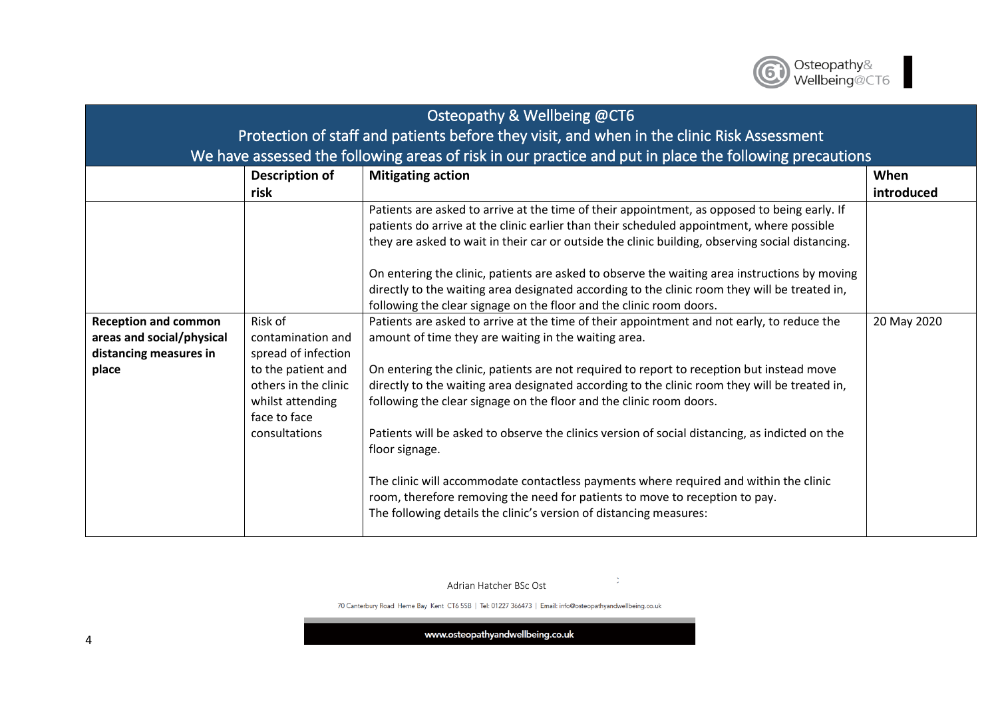

| Osteopathy & Wellbeing @CT6                                                                 |                                                                                                                                                        |                                                                                                                                                                                                                                                                                                                                                                                                                                                                                                                                                                                                                                                                                                                                                                                           |             |  |
|---------------------------------------------------------------------------------------------|--------------------------------------------------------------------------------------------------------------------------------------------------------|-------------------------------------------------------------------------------------------------------------------------------------------------------------------------------------------------------------------------------------------------------------------------------------------------------------------------------------------------------------------------------------------------------------------------------------------------------------------------------------------------------------------------------------------------------------------------------------------------------------------------------------------------------------------------------------------------------------------------------------------------------------------------------------------|-------------|--|
| Protection of staff and patients before they visit, and when in the clinic Risk Assessment  |                                                                                                                                                        |                                                                                                                                                                                                                                                                                                                                                                                                                                                                                                                                                                                                                                                                                                                                                                                           |             |  |
|                                                                                             |                                                                                                                                                        | We have assessed the following areas of risk in our practice and put in place the following precautions                                                                                                                                                                                                                                                                                                                                                                                                                                                                                                                                                                                                                                                                                   |             |  |
|                                                                                             | Description of                                                                                                                                         | <b>Mitigating action</b>                                                                                                                                                                                                                                                                                                                                                                                                                                                                                                                                                                                                                                                                                                                                                                  | When        |  |
|                                                                                             | risk                                                                                                                                                   |                                                                                                                                                                                                                                                                                                                                                                                                                                                                                                                                                                                                                                                                                                                                                                                           | introduced  |  |
|                                                                                             |                                                                                                                                                        | Patients are asked to arrive at the time of their appointment, as opposed to being early. If<br>patients do arrive at the clinic earlier than their scheduled appointment, where possible<br>they are asked to wait in their car or outside the clinic building, observing social distancing.                                                                                                                                                                                                                                                                                                                                                                                                                                                                                             |             |  |
|                                                                                             |                                                                                                                                                        | On entering the clinic, patients are asked to observe the waiting area instructions by moving<br>directly to the waiting area designated according to the clinic room they will be treated in,                                                                                                                                                                                                                                                                                                                                                                                                                                                                                                                                                                                            |             |  |
|                                                                                             |                                                                                                                                                        | following the clear signage on the floor and the clinic room doors.                                                                                                                                                                                                                                                                                                                                                                                                                                                                                                                                                                                                                                                                                                                       |             |  |
| <b>Reception and common</b><br>areas and social/physical<br>distancing measures in<br>place | Risk of<br>contamination and<br>spread of infection<br>to the patient and<br>others in the clinic<br>whilst attending<br>face to face<br>consultations | Patients are asked to arrive at the time of their appointment and not early, to reduce the<br>amount of time they are waiting in the waiting area.<br>On entering the clinic, patients are not required to report to reception but instead move<br>directly to the waiting area designated according to the clinic room they will be treated in,<br>following the clear signage on the floor and the clinic room doors.<br>Patients will be asked to observe the clinics version of social distancing, as indicted on the<br>floor signage.<br>The clinic will accommodate contactless payments where required and within the clinic<br>room, therefore removing the need for patients to move to reception to pay.<br>The following details the clinic's version of distancing measures: | 20 May 2020 |  |

 $\mathcal{Z}^{\mathbb{Z}}$ 

70 Canterbury Road Herne Bay Kent CT6 5SB | Tel: 01227 366473 | Email: info@osteopathyandwellbeing.co.uk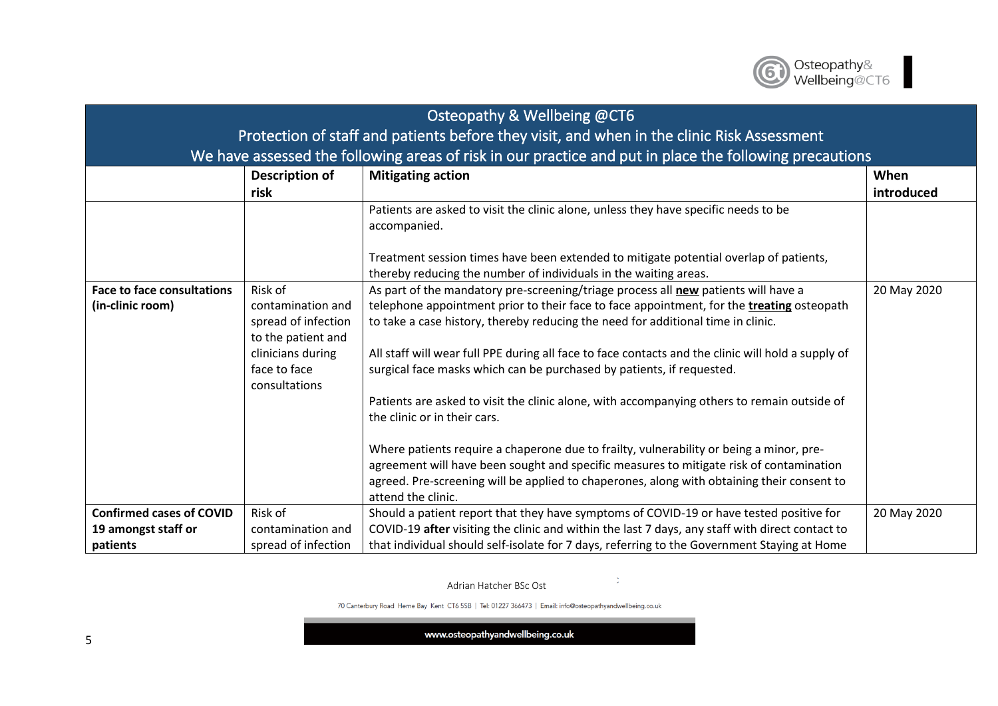

| Osteopathy & Wellbeing @CT6                                                                |                                                                                                                                 |                                                                                                                                                                                                                                                                                                                                                                                                                                                                                                                                                                                                                                                                                                                                                                                                                                                                                                    |                    |
|--------------------------------------------------------------------------------------------|---------------------------------------------------------------------------------------------------------------------------------|----------------------------------------------------------------------------------------------------------------------------------------------------------------------------------------------------------------------------------------------------------------------------------------------------------------------------------------------------------------------------------------------------------------------------------------------------------------------------------------------------------------------------------------------------------------------------------------------------------------------------------------------------------------------------------------------------------------------------------------------------------------------------------------------------------------------------------------------------------------------------------------------------|--------------------|
| Protection of staff and patients before they visit, and when in the clinic Risk Assessment |                                                                                                                                 |                                                                                                                                                                                                                                                                                                                                                                                                                                                                                                                                                                                                                                                                                                                                                                                                                                                                                                    |                    |
|                                                                                            |                                                                                                                                 | We have assessed the following areas of risk in our practice and put in place the following precautions                                                                                                                                                                                                                                                                                                                                                                                                                                                                                                                                                                                                                                                                                                                                                                                            |                    |
|                                                                                            | Description of<br>risk                                                                                                          | <b>Mitigating action</b>                                                                                                                                                                                                                                                                                                                                                                                                                                                                                                                                                                                                                                                                                                                                                                                                                                                                           | When<br>introduced |
|                                                                                            |                                                                                                                                 | Patients are asked to visit the clinic alone, unless they have specific needs to be<br>accompanied.<br>Treatment session times have been extended to mitigate potential overlap of patients,<br>thereby reducing the number of individuals in the waiting areas.                                                                                                                                                                                                                                                                                                                                                                                                                                                                                                                                                                                                                                   |                    |
| <b>Face to face consultations</b><br>(in-clinic room)                                      | Risk of<br>contamination and<br>spread of infection<br>to the patient and<br>clinicians during<br>face to face<br>consultations | As part of the mandatory pre-screening/triage process all new patients will have a<br>telephone appointment prior to their face to face appointment, for the <b>treating</b> osteopath<br>to take a case history, thereby reducing the need for additional time in clinic.<br>All staff will wear full PPE during all face to face contacts and the clinic will hold a supply of<br>surgical face masks which can be purchased by patients, if requested.<br>Patients are asked to visit the clinic alone, with accompanying others to remain outside of<br>the clinic or in their cars.<br>Where patients require a chaperone due to frailty, vulnerability or being a minor, pre-<br>agreement will have been sought and specific measures to mitigate risk of contamination<br>agreed. Pre-screening will be applied to chaperones, along with obtaining their consent to<br>attend the clinic. | 20 May 2020        |
| <b>Confirmed cases of COVID</b>                                                            | Risk of                                                                                                                         | Should a patient report that they have symptoms of COVID-19 or have tested positive for                                                                                                                                                                                                                                                                                                                                                                                                                                                                                                                                                                                                                                                                                                                                                                                                            | 20 May 2020        |
| 19 amongst staff or<br>patients                                                            | contamination and<br>spread of infection                                                                                        | COVID-19 after visiting the clinic and within the last 7 days, any staff with direct contact to<br>that individual should self-isolate for 7 days, referring to the Government Staying at Home                                                                                                                                                                                                                                                                                                                                                                                                                                                                                                                                                                                                                                                                                                     |                    |

 $\mathcal{Z}^{\mathbb{Z}}$ 

70 Canterbury Road Herne Bay Kent CT6 5SB | Tel: 01227 366473 | Email: info@osteopathyandwellbeing.co.uk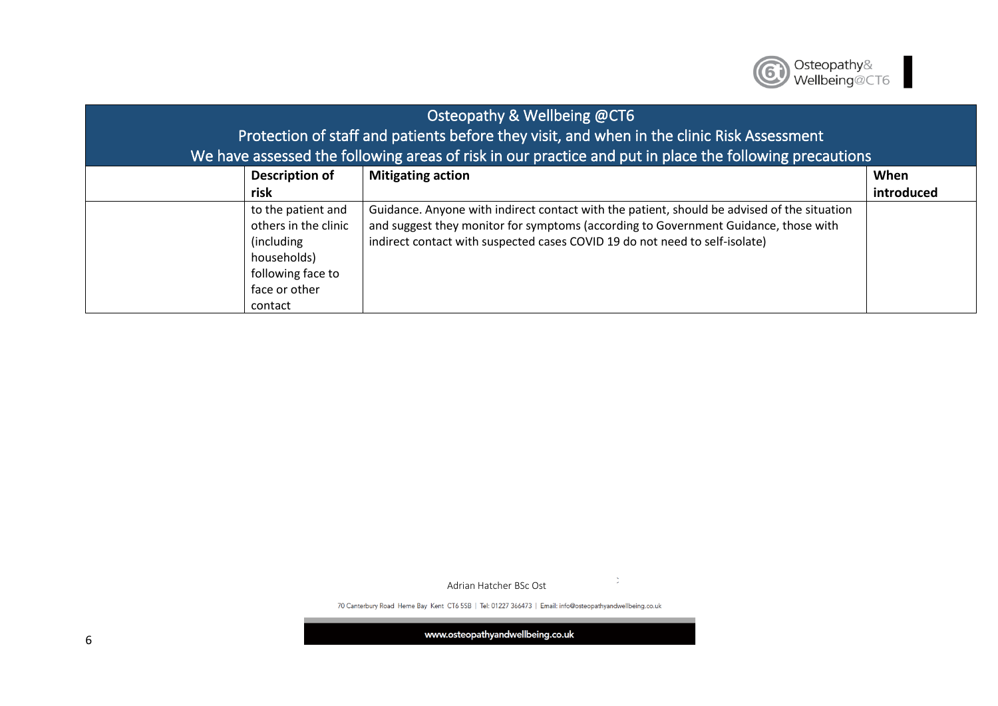

| Osteopathy & Wellbeing @CT6 |                       |                                                                                                         |            |  |
|-----------------------------|-----------------------|---------------------------------------------------------------------------------------------------------|------------|--|
|                             |                       | Protection of staff and patients before they visit, and when in the clinic Risk Assessment              |            |  |
|                             |                       | We have assessed the following areas of risk in our practice and put in place the following precautions |            |  |
|                             | <b>Description of</b> | <b>Mitigating action</b>                                                                                | When       |  |
|                             | risk                  |                                                                                                         | introduced |  |
|                             | to the patient and    | Guidance. Anyone with indirect contact with the patient, should be advised of the situation             |            |  |
|                             | others in the clinic  | and suggest they monitor for symptoms (according to Government Guidance, those with                     |            |  |
|                             | (including)           | indirect contact with suspected cases COVID 19 do not need to self-isolate)                             |            |  |
|                             | households)           |                                                                                                         |            |  |
|                             | following face to     |                                                                                                         |            |  |
|                             | face or other         |                                                                                                         |            |  |
|                             | contact               |                                                                                                         |            |  |

70 Canterbury Road Herne Bay Kent CT6 5SB | Tel: 01227 366473 | Email: info@osteopathyandwellbeing.co.uk

 $\mathcal{Z}^{\mathbb{Z}}$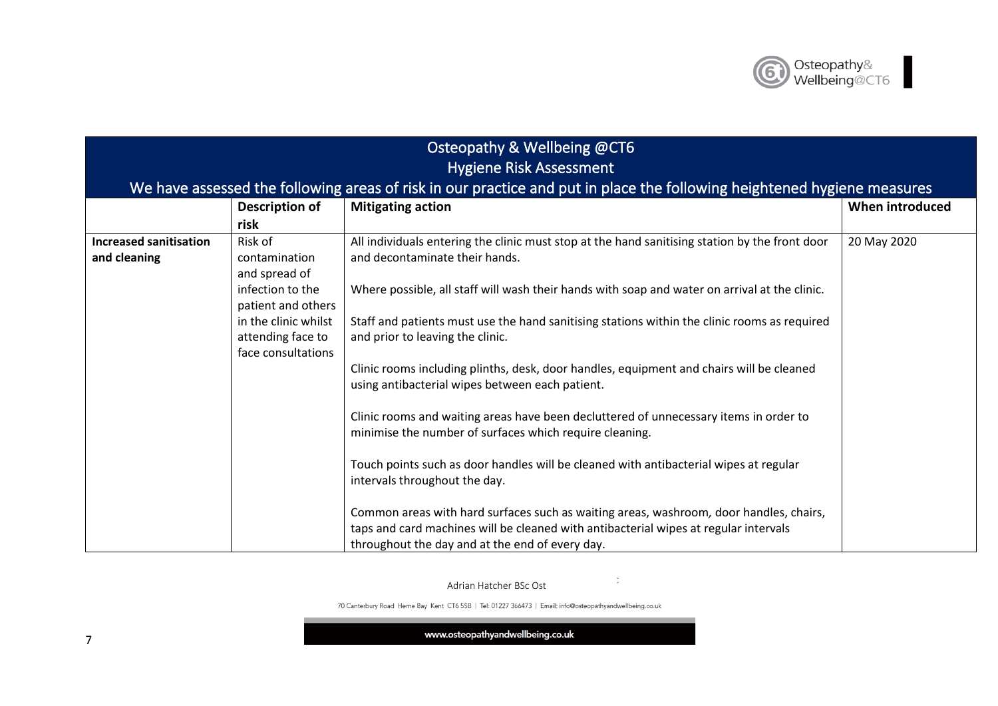## Osteopathy & Wellbeing @CT6 Hygiene Risk Assessment

## We have assessed the following areas of risk in our practice and put in place the following heightened hygiene measures

|                               | <b>Description of</b> | <b>Mitigating action</b>                                                                       | When introduced |
|-------------------------------|-----------------------|------------------------------------------------------------------------------------------------|-----------------|
|                               | risk                  |                                                                                                |                 |
| <b>Increased sanitisation</b> | Risk of               | All individuals entering the clinic must stop at the hand sanitising station by the front door | 20 May 2020     |
| and cleaning                  | contamination         | and decontaminate their hands.                                                                 |                 |
|                               | and spread of         |                                                                                                |                 |
|                               | infection to the      | Where possible, all staff will wash their hands with soap and water on arrival at the clinic.  |                 |
|                               | patient and others    |                                                                                                |                 |
|                               | in the clinic whilst  | Staff and patients must use the hand sanitising stations within the clinic rooms as required   |                 |
|                               | attending face to     | and prior to leaving the clinic.                                                               |                 |
|                               | face consultations    |                                                                                                |                 |
|                               |                       | Clinic rooms including plinths, desk, door handles, equipment and chairs will be cleaned       |                 |
|                               |                       | using antibacterial wipes between each patient.                                                |                 |
|                               |                       |                                                                                                |                 |
|                               |                       | Clinic rooms and waiting areas have been decluttered of unnecessary items in order to          |                 |
|                               |                       | minimise the number of surfaces which require cleaning.                                        |                 |
|                               |                       |                                                                                                |                 |
|                               |                       | Touch points such as door handles will be cleaned with antibacterial wipes at regular          |                 |
|                               |                       | intervals throughout the day.                                                                  |                 |
|                               |                       | Common areas with hard surfaces such as waiting areas, washroom, door handles, chairs,         |                 |
|                               |                       | taps and card machines will be cleaned with antibacterial wipes at regular intervals           |                 |
|                               |                       |                                                                                                |                 |
|                               |                       | throughout the day and at the end of every day.                                                |                 |

Adrian Hatcher BSc Ost

70 Canterbury Road Herne Bay Kent CT6 5SB | Tel: 01227 366473 | Email: info@osteopathyandwellbeing.co.uk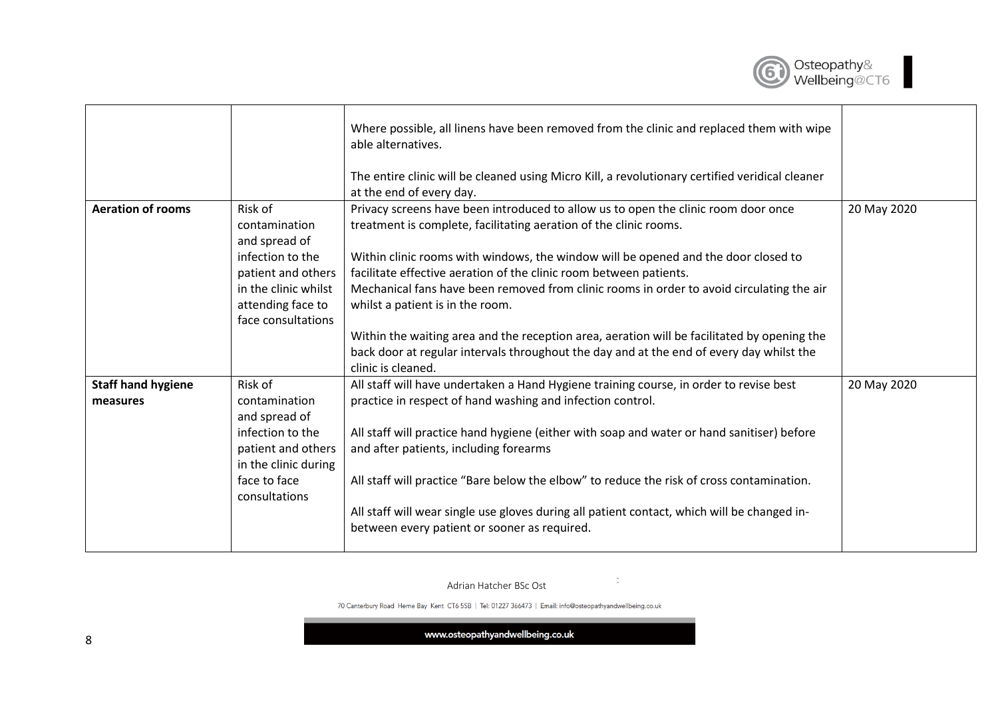

|                                       |                                                                                                                                                        | Where possible, all linens have been removed from the clinic and replaced them with wipe<br>able alternatives.<br>The entire clinic will be cleaned using Micro Kill, a revolutionary certified veridical cleaner<br>at the end of every day.                                                                                                                                                                                                                                                                                                                                                                                                   |             |
|---------------------------------------|--------------------------------------------------------------------------------------------------------------------------------------------------------|-------------------------------------------------------------------------------------------------------------------------------------------------------------------------------------------------------------------------------------------------------------------------------------------------------------------------------------------------------------------------------------------------------------------------------------------------------------------------------------------------------------------------------------------------------------------------------------------------------------------------------------------------|-------------|
| <b>Aeration of rooms</b>              | Risk of<br>contamination<br>and spread of<br>infection to the<br>patient and others<br>in the clinic whilst<br>attending face to<br>face consultations | Privacy screens have been introduced to allow us to open the clinic room door once<br>treatment is complete, facilitating aeration of the clinic rooms.<br>Within clinic rooms with windows, the window will be opened and the door closed to<br>facilitate effective aeration of the clinic room between patients.<br>Mechanical fans have been removed from clinic rooms in order to avoid circulating the air<br>whilst a patient is in the room.<br>Within the waiting area and the reception area, aeration will be facilitated by opening the<br>back door at regular intervals throughout the day and at the end of every day whilst the | 20 May 2020 |
|                                       |                                                                                                                                                        | clinic is cleaned.                                                                                                                                                                                                                                                                                                                                                                                                                                                                                                                                                                                                                              |             |
| <b>Staff hand hygiene</b><br>measures | Risk of<br>contamination<br>and spread of<br>infection to the<br>patient and others<br>in the clinic during<br>face to face<br>consultations           | All staff will have undertaken a Hand Hygiene training course, in order to revise best<br>practice in respect of hand washing and infection control.<br>All staff will practice hand hygiene (either with soap and water or hand sanitiser) before<br>and after patients, including forearms<br>All staff will practice "Bare below the elbow" to reduce the risk of cross contamination.<br>All staff will wear single use gloves during all patient contact, which will be changed in-<br>between every patient or sooner as required.                                                                                                        | 20 May 2020 |

 $\mathcal{Z}^{\mathbb{Z}}$ 

70 Canterbury Road Herne Bay Kent CT6 5SB | Tel: 01227 366473 | Email: info@osteopathyandwellbeing.co.uk